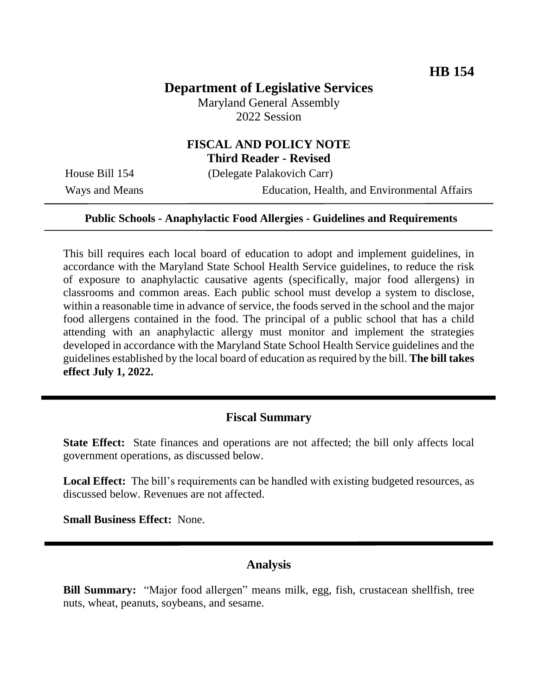### **Department of Legislative Services**

Maryland General Assembly 2022 Session

# **FISCAL AND POLICY NOTE**

**Third Reader - Revised**

House Bill 154 (Delegate Palakovich Carr)

Ways and Means **Education**, Health, and Environmental Affairs

#### **Public Schools - Anaphylactic Food Allergies - Guidelines and Requirements**

This bill requires each local board of education to adopt and implement guidelines, in accordance with the Maryland State School Health Service guidelines, to reduce the risk of exposure to anaphylactic causative agents (specifically, major food allergens) in classrooms and common areas. Each public school must develop a system to disclose, within a reasonable time in advance of service, the foods served in the school and the major food allergens contained in the food. The principal of a public school that has a child attending with an anaphylactic allergy must monitor and implement the strategies developed in accordance with the Maryland State School Health Service guidelines and the guidelines established by the local board of education as required by the bill. **The bill takes effect July 1, 2022.**

#### **Fiscal Summary**

**State Effect:** State finances and operations are not affected; the bill only affects local government operations, as discussed below.

**Local Effect:** The bill's requirements can be handled with existing budgeted resources, as discussed below. Revenues are not affected.

**Small Business Effect:** None.

#### **Analysis**

**Bill Summary:** "Major food allergen" means milk, egg, fish, crustacean shellfish, tree nuts, wheat, peanuts, soybeans, and sesame.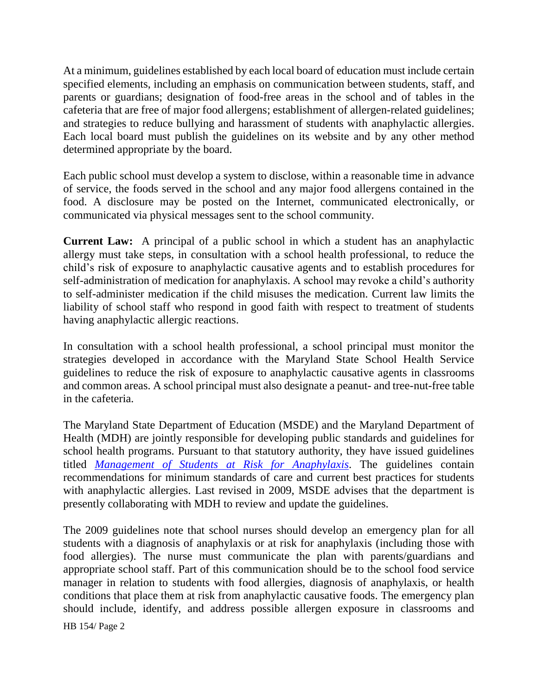At a minimum, guidelines established by each local board of education must include certain specified elements, including an emphasis on communication between students, staff, and parents or guardians; designation of food-free areas in the school and of tables in the cafeteria that are free of major food allergens; establishment of allergen-related guidelines; and strategies to reduce bullying and harassment of students with anaphylactic allergies. Each local board must publish the guidelines on its website and by any other method determined appropriate by the board.

Each public school must develop a system to disclose, within a reasonable time in advance of service, the foods served in the school and any major food allergens contained in the food. A disclosure may be posted on the Internet, communicated electronically, or communicated via physical messages sent to the school community.

**Current Law:** A principal of a public school in which a student has an anaphylactic allergy must take steps, in consultation with a school health professional, to reduce the child's risk of exposure to anaphylactic causative agents and to establish procedures for self-administration of medication for anaphylaxis. A school may revoke a child's authority to self-administer medication if the child misuses the medication. Current law limits the liability of school staff who respond in good faith with respect to treatment of students having anaphylactic allergic reactions.

In consultation with a school health professional, a school principal must monitor the strategies developed in accordance with the Maryland State School Health Service guidelines to reduce the risk of exposure to anaphylactic causative agents in classrooms and common areas. A school principal must also designate a peanut- and tree-nut-free table in the cafeteria.

The Maryland State Department of Education (MSDE) and the Maryland Department of Health (MDH) are jointly responsible for developing public standards and guidelines for school health programs. Pursuant to that statutory authority, they have issued guidelines titled *[Management of Students at Risk for Anaphylaxis](https://marylandpublicschools.org/about/Documents/DSFSS/SSSP/SHS/SHSGuidelines/Anaphylaxisstateguidelines082809.pdf)*. The guidelines contain recommendations for minimum standards of care and current best practices for students with anaphylactic allergies. Last revised in 2009, MSDE advises that the department is presently collaborating with MDH to review and update the guidelines.

The 2009 guidelines note that school nurses should develop an emergency plan for all students with a diagnosis of anaphylaxis or at risk for anaphylaxis (including those with food allergies). The nurse must communicate the plan with parents/guardians and appropriate school staff. Part of this communication should be to the school food service manager in relation to students with food allergies, diagnosis of anaphylaxis, or health conditions that place them at risk from anaphylactic causative foods. The emergency plan should include, identify, and address possible allergen exposure in classrooms and

HB 154/ Page 2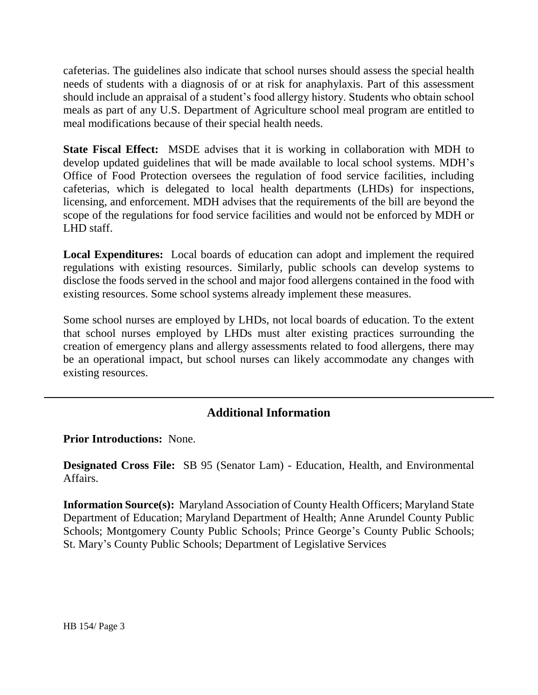cafeterias. The guidelines also indicate that school nurses should assess the special health needs of students with a diagnosis of or at risk for anaphylaxis. Part of this assessment should include an appraisal of a student's food allergy history. Students who obtain school meals as part of any U.S. Department of Agriculture school meal program are entitled to meal modifications because of their special health needs.

**State Fiscal Effect:** MSDE advises that it is working in collaboration with MDH to develop updated guidelines that will be made available to local school systems. MDH's Office of Food Protection oversees the regulation of food service facilities, including cafeterias, which is delegated to local health departments (LHDs) for inspections, licensing, and enforcement. MDH advises that the requirements of the bill are beyond the scope of the regulations for food service facilities and would not be enforced by MDH or LHD staff.

**Local Expenditures:** Local boards of education can adopt and implement the required regulations with existing resources. Similarly, public schools can develop systems to disclose the foods served in the school and major food allergens contained in the food with existing resources. Some school systems already implement these measures.

Some school nurses are employed by LHDs, not local boards of education. To the extent that school nurses employed by LHDs must alter existing practices surrounding the creation of emergency plans and allergy assessments related to food allergens, there may be an operational impact, but school nurses can likely accommodate any changes with existing resources.

## **Additional Information**

**Prior Introductions:** None.

**Designated Cross File:** SB 95 (Senator Lam) - Education, Health, and Environmental Affairs.

**Information Source(s):** Maryland Association of County Health Officers; Maryland State Department of Education; Maryland Department of Health; Anne Arundel County Public Schools; Montgomery County Public Schools; Prince George's County Public Schools; St. Mary's County Public Schools; Department of Legislative Services